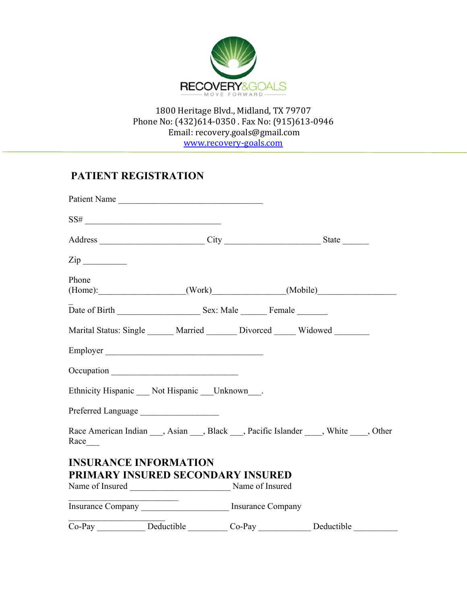

# **PATIENT REGISTRATION**

|                              | Patient Name                                                 |                                                                                                      |
|------------------------------|--------------------------------------------------------------|------------------------------------------------------------------------------------------------------|
|                              | $SS\#$                                                       |                                                                                                      |
|                              |                                                              |                                                                                                      |
| $\mathsf{Zip} \_\_\_\_\_\_\$ |                                                              |                                                                                                      |
| Phone                        |                                                              | (Home): (Work) (Work) (Mobile)                                                                       |
|                              |                                                              |                                                                                                      |
|                              |                                                              | Marital Status: Single ______ Married ______ Divorced _____ Widowed ______                           |
|                              | Employer                                                     |                                                                                                      |
|                              | Occupation                                                   |                                                                                                      |
|                              | Ethnicity Hispanic ___ Not Hispanic ___ Unknown___.          |                                                                                                      |
|                              | Preferred Language                                           |                                                                                                      |
| $Race$ <sub>____</sub>       |                                                              | Race American Indian <sub>___</sub> , Asian ___, Black ___, Pacific Islander ____, White ____, Other |
| <b>INSURANCE INFORMATION</b> |                                                              |                                                                                                      |
|                              | PRIMARY INSURED SECONDARY INSURED                            |                                                                                                      |
|                              | Name of Insured<br><u>Name of Insured</u><br>Name of Insured |                                                                                                      |
|                              |                                                              |                                                                                                      |
|                              |                                                              | Co-Pay Deductible Co-Pay Deductible Deductible                                                       |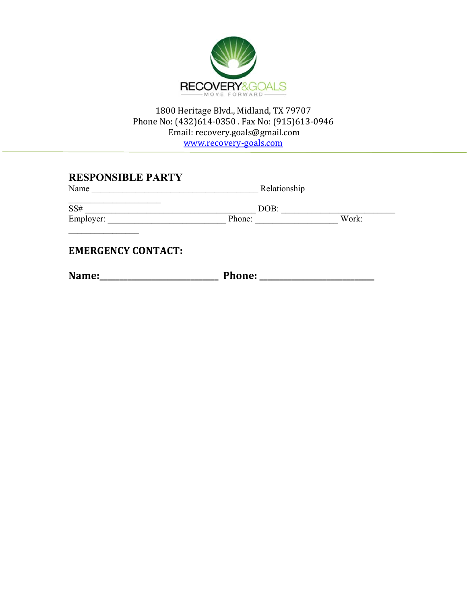

**RESPONSIBLE PARTY** 

| Name      | Relationship |       |  |  |
|-----------|--------------|-------|--|--|
| SS#       | DOB:         |       |  |  |
| Employer: | Phone:       | Work: |  |  |
|           |              |       |  |  |
|           |              |       |  |  |

**EMERGENCY CONTACT:**

**Name:\_\_\_\_\_\_\_\_\_\_\_\_\_\_\_\_\_\_\_\_\_\_\_\_\_\_\_\_\_\_ Phone: \_\_\_\_\_\_\_\_\_\_\_\_\_\_\_\_\_\_\_\_\_\_\_\_\_\_\_\_\_**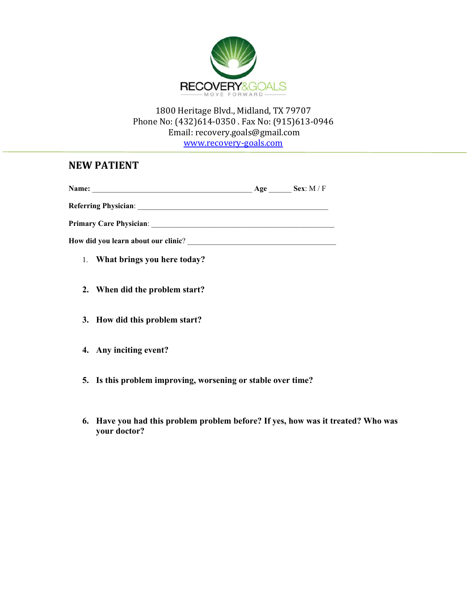

www.recovery‐goals.com

# **NEW PATIENT**

|                                                                                                                                                                                                                                     | $Age$ <sub>_______</sub> | Sex: $M / F$ |
|-------------------------------------------------------------------------------------------------------------------------------------------------------------------------------------------------------------------------------------|--------------------------|--------------|
| <b>Referring Physician:</b> National Physician Communication of the Communication of the Communication of the Communication of the Communication of the Communication of the Communication of the Communication of the Communicatio |                          |              |
| <b>Primary Care Physician:</b> The Contract of the Care Physician:                                                                                                                                                                  |                          |              |
| How did you learn about our clinic?                                                                                                                                                                                                 |                          |              |
| 1. What brings you here today?                                                                                                                                                                                                      |                          |              |

- **2. When did the problem start?**
- **3. How did this problem start?**
- **4. Any inciting event?**
- **5. Is this problem improving, worsening or stable over time?**
- **6. Have you had this problem problem before? If yes, how was it treated? Who was your doctor?**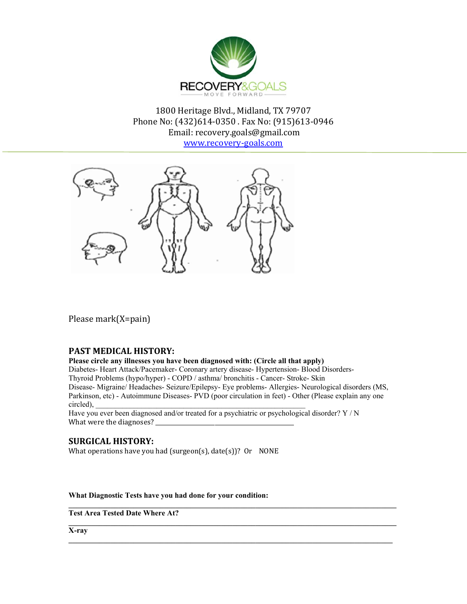

www.recovery‐goals.com



Please mark(X=pain)

### **PAST MEDICAL HISTORY:**

**Please circle any illnesses you have been diagnosed with: (Circle all that apply)**  Diabetes- Heart Attack/Pacemaker- Coronary artery disease- Hypertension- Blood Disorders-Thyroid Problems (hypo/hyper) - COPD / asthma/ bronchitis - Cancer- Stroke- Skin Disease- Migraine/ Headaches- Seizure/Epilepsy- Eye problems- Allergies- Neurological disorders (MS, Parkinson, etc) - Autoimmune Diseases- PVD (poor circulation in feet) - Other (Please explain any one  $circle$ ),

**\_\_\_\_\_\_\_\_\_\_\_\_\_\_\_\_\_\_\_\_\_\_\_\_\_\_\_\_\_\_\_\_\_\_\_\_\_\_\_\_\_\_\_\_\_\_\_\_\_\_\_\_\_\_\_\_\_\_\_\_\_\_\_\_\_\_\_\_\_\_\_\_\_\_\_\_\_\_\_\_\_\_\_\_\_\_** 

 $\mathcal{L}_\mathcal{L}$ 

Have you ever been diagnosed and/or treated for a psychiatric or psychological disorder? Y / N What were the diagnoses?

### **SURGICAL HISTORY:**

What operations have you had (surgeon(s), date(s))? Or NONE

**What Diagnostic Tests have you had done for your condition:** 

**Test Area Tested Date Where At?** 

**X-ray**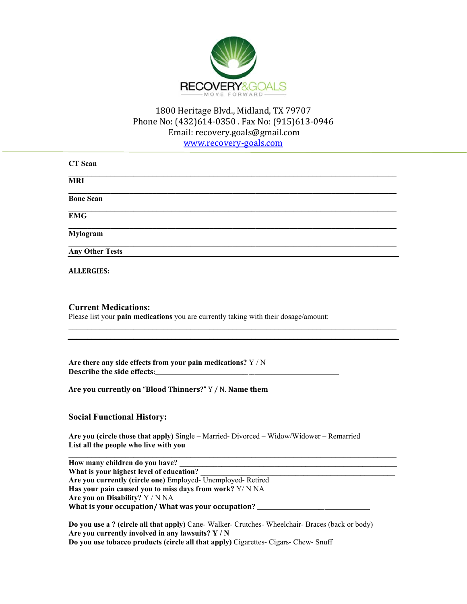

www.recovery‐goals.com

| <b>CT</b> Scan         |  |  |  |
|------------------------|--|--|--|
| <b>MRI</b>             |  |  |  |
| <b>Bone Scan</b>       |  |  |  |
| <b>EMG</b>             |  |  |  |
| Mylogram               |  |  |  |
| <b>Any Other Tests</b> |  |  |  |
|                        |  |  |  |

 $\_$  , and the state of the state of the state of the state of the state of the state of the state of the state of the state of the state of the state of the state of the state of the state of the state of the state of the

**ALLERGIES:**

### **Current Medications:**

Please list your **pain medications** you are currently taking with their dosage/amount:

**Are there any side effects from your pain medications?** Y / N **Describe the side effects**:\_\_\_\_\_\_\_\_\_\_\_\_\_\_\_\_\_\_\_\_\_\_\_\_\_\_\_\_\_\_\_\_\_\_\_\_\_\_\_\_\_\_\_\_\_\_\_\_\_\_\_\_\_\_\_\_\_\_\_\_\_\_\_\_\_ 

**Are you currently on "Blood Thinners?"** Y / N. **Name them**

### **Social Functional History:**

**Are you (circle those that apply)** Single – Married- Divorced – Widow/Widower – Remarried **List all the people who live with you** 

 $\_$  , and the state of the state of the state of the state of the state of the state of the state of the state of the state of the state of the state of the state of the state of the state of the state of the state of the How many children do you have? What is your highest level of education? **Are you currently (circle one)** Employed- Unemployed- Retired **Has your pain caused you to miss days from work?** Y/ N NA **Are you on Disability?** Y / N NA **What is your occupation/ What was your occupation?** \_\_\_\_\_\_\_\_\_\_\_\_\_\_\_\_\_\_\_\_\_\_\_\_\_\_\_\_\_\_\_\_\_\_\_\_\_\_\_\_ 

**Do you use a ? (circle all that apply)** Cane- Walker- Crutches- Wheelchair- Braces (back or body) **Are you currently involved in any lawsuits? Y / N Do you use tobacco products (circle all that apply)** Cigarettes- Cigars- Chew- Snuff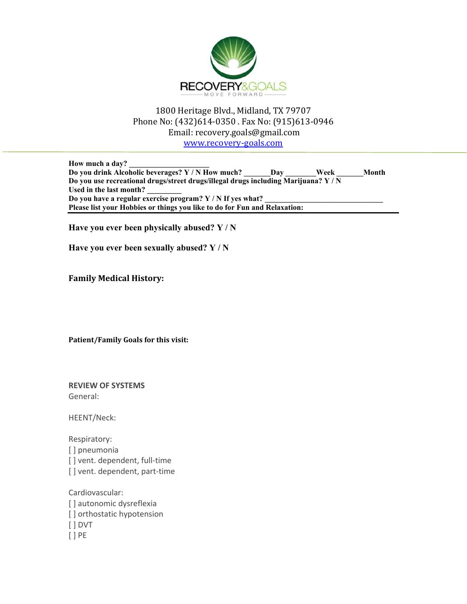

www.recovery‐goals.com

How much a day? **Do you drink Alcoholic beverages? Y / N How much? \_\_\_\_\_\_\_Day \_\_\_\_\_\_\_\_Week \_\_\_\_\_\_\_Month Do you use recreational drugs/street drugs/illegal drugs including Marijuana? Y / N Used in the last month? \_\_\_\_\_\_\_\_\_**  Do you have a regular exercise program? Y / N If yes what? **Please list your Hobbies or things you like to do for Fun and Relaxation:** 

**Have you ever been physically abused? Y / N** 

**Have you ever been sexually abused? Y / N** 

**Family Medical History:**

**Patient/Family Goals for this visit:**

**REVIEW OF SYSTEMS** General:

HEENT/Neck:

Respiratory: [ ] pneumonia [] vent. dependent, full-time [] vent. dependent, part-time

Cardiovascular: [] autonomic dysreflexia [ ] orthostatic hypotension [ ] DVT [ ] PE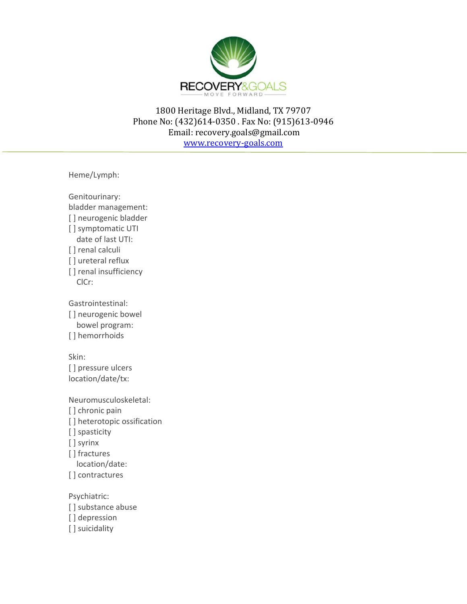

Heme/Lymph:

Genitourinary: bladder management: [ ] neurogenic bladder [] symptomatic UTI date of last UTI: [ ] renal calculi [] ureteral reflux [ ] renal insufficiency ClCr: Gastrointestinal: [] neurogenic bowel bowel program: [] hemorrhoids Skin: [] pressure ulcers location/date/tx: Neuromusculoskeletal: [] chronic pain [ ] heterotopic ossification [ ] spasticity [ ] syrinx [] fractures location/date: [] contractures Psychiatric:

[] substance abuse [] depression [] suicidality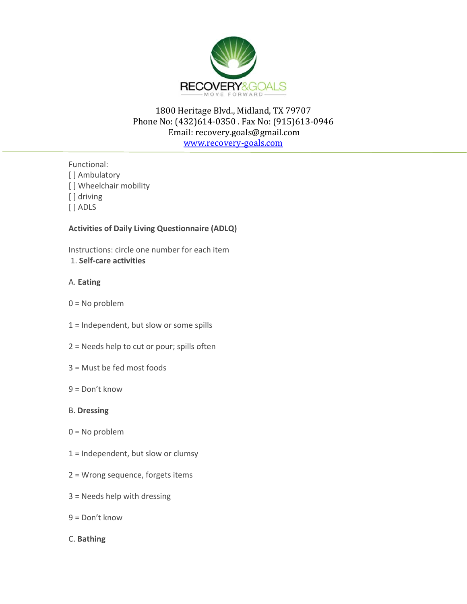

www.recovery‐goals.com

Functional:

- [] Ambulatory
- [] Wheelchair mobility
- [] driving
- [ ] ADLS

### **Activities of Daily Living Questionnaire (ADLQ)**

Instructions: circle one number for each item 1. **Self‐care activities**

### A. **Eating**

- $0 = No$  problem
- 1 = Independent, but slow or some spills
- 2 = Needs help to cut or pour; spills often
- 3 = Must be fed most foods
- 9 = Don't know

### B. **Dressing**

- 0 = No problem
- $1 =$  Independent, but slow or clumsy
- 2 = Wrong sequence, forgets items
- 3 = Needs help with dressing
- $9 = Don't know$
- C. **Bathing**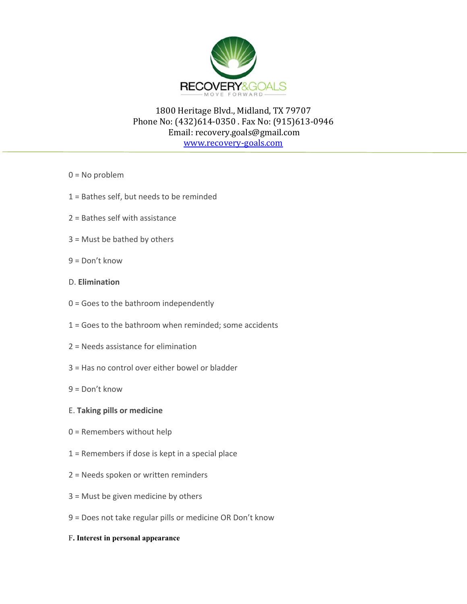

- $0 = No$  problem
- 1 = Bathes self, but needs to be reminded
- 2 = Bathes self with assistance
- 3 = Must be bathed by others
- $9 = Don't know$

### D. **Elimination**

- $0 =$  Goes to the bathroom independently
- 1 = Goes to the bathroom when reminded; some accidents
- 2 = Needs assistance for elimination
- 3 = Has no control over either bowel or bladder
- $9 = Don't know$

### E. **Taking pills or medicine**

- 0 = Remembers without help
- 1 = Remembers if dose is kept in a special place
- 2 = Needs spoken or written reminders
- 3 = Must be given medicine by others
- 9 = Does not take regular pills or medicine OR Don't know
- F**. Interest in personal appearance**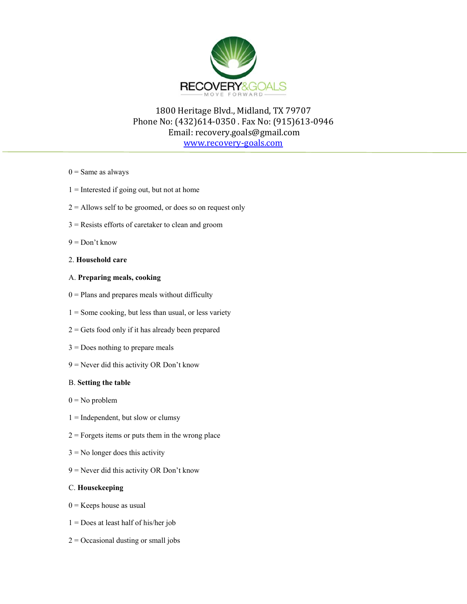

www.recovery‐goals.com

- $0 =$  Same as always
- $1 =$  Interested if going out, but not at home
- $2 =$  Allows self to be groomed, or does so on request only
- 3 = Resists efforts of caretaker to clean and groom
- $9 = Don't know$

### 2. **Household care**

### A. **Preparing meals, cooking**

- $0 =$  Plans and prepares meals without difficulty
- $1 =$  Some cooking, but less than usual, or less variety
- $2 = \text{Gets}$  food only if it has already been prepared
- $3 =$  Does nothing to prepare meals
- 9 = Never did this activity OR Don't know

### B. **Setting the table**

- $0 = No$  problem
- $1 =$  Independent, but slow or clumsy
- $2 =$ Forgets items or puts them in the wrong place
- $3 = No$  longer does this activity
- 9 = Never did this activity OR Don't know

#### C. **Housekeeping**

- $0 =$ Keeps house as usual
- $1 =$  Does at least half of his/her job
- $2 =$ Occasional dusting or small jobs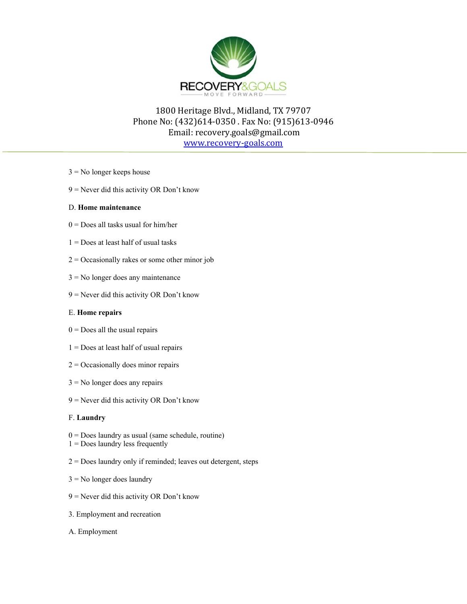

www.recovery‐goals.com

- $3 = No$  longer keeps house
- 9 = Never did this activity OR Don't know

### D. **Home maintenance**

- $0 =$  Does all tasks usual for him/her
- $1 =$  Does at least half of usual tasks
- $2 =$ Occasionally rakes or some other minor job
- 3 = No longer does any maintenance
- 9 = Never did this activity OR Don't know

### E. **Home repairs**

- $0 =$  Does all the usual repairs
- 1 = Does at least half of usual repairs
- $2 =$ Occasionally does minor repairs
- $3 =$  No longer does any repairs
- 9 = Never did this activity OR Don't know

### F. **Laundry**

- $0 = Does$  laundry as usual (same schedule, routine)
- $1 = Does$  laundry less frequently
- 2 = Does laundry only if reminded; leaves out detergent, steps
- $3 =$  No longer does laundry
- 9 = Never did this activity OR Don't know
- 3. Employment and recreation
- A. Employment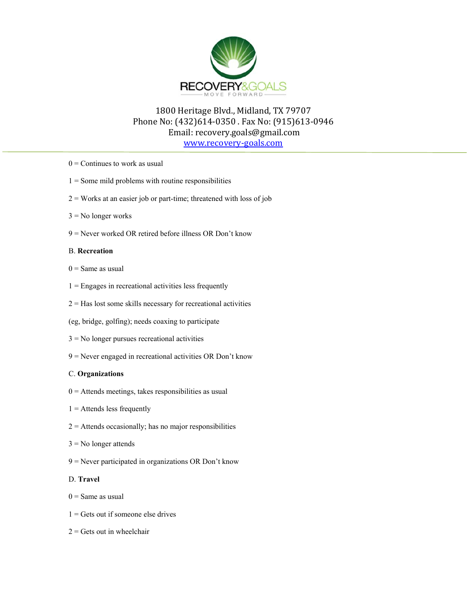

www.recovery‐goals.com

- $0 =$  Continues to work as usual
- $1 =$  Some mild problems with routine responsibilities
- $2 =$  Works at an easier job or part-time; threatened with loss of job
- $3 = No longer works$
- 9 = Never worked OR retired before illness OR Don't know

#### B. **Recreation**

- $0 =$ Same as usual
- $1 =$  Engages in recreational activities less frequently
- $2 =$  Has lost some skills necessary for recreational activities
- (eg, bridge, golfing); needs coaxing to participate
- 3 = No longer pursues recreational activities
- 9 = Never engaged in recreational activities OR Don't know

### C. **Organizations**

- $0 =$  Attends meetings, takes responsibilities as usual
- $1 =$  Attends less frequently
- $2 =$  Attends occasionally; has no major responsibilities
- $3 = No longer$  attends
- 9 = Never participated in organizations OR Don't know

#### D. **Travel**

- $0 =$ Same as usual
- $1 = \text{Gets out if someone else drives}$
- $2 = \text{Gets}$  out in wheelchair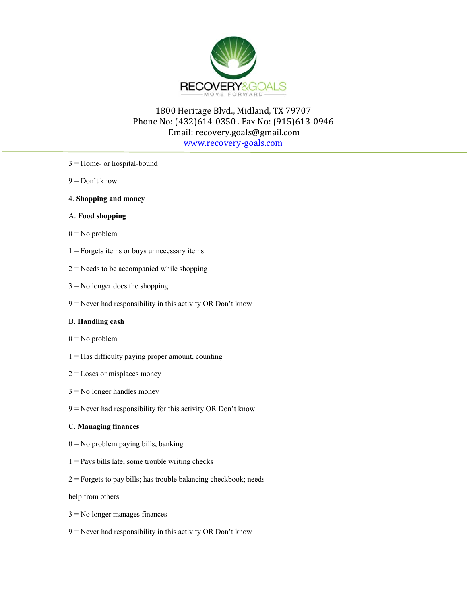

www.recovery‐goals.com

- 3 = Home- or hospital-bound
- $9 = Don't know$
- 4. **Shopping and money**

#### A. **Food shopping**

- $0 = No$  problem
- $1 =$  Forgets items or buys unnecessary items
- $2$  = Needs to be accompanied while shopping
- $3 = No$  longer does the shopping
- $9$  = Never had responsibility in this activity OR Don't know

### B. **Handling cash**

- $0 = No$  problem
- $1 =$  Has difficulty paying proper amount, counting
- $2 =$ Loses or misplaces money
- $3 = No$  longer handles money
- $9$  = Never had responsibility for this activity OR Don't know

### C. **Managing finances**

- $0 = No$  problem paying bills, banking
- $1 =$  Pays bills late; some trouble writing checks
- $2$  = Forgets to pay bills; has trouble balancing checkbook; needs

help from others

- 3 = No longer manages finances
- $9$  = Never had responsibility in this activity OR Don't know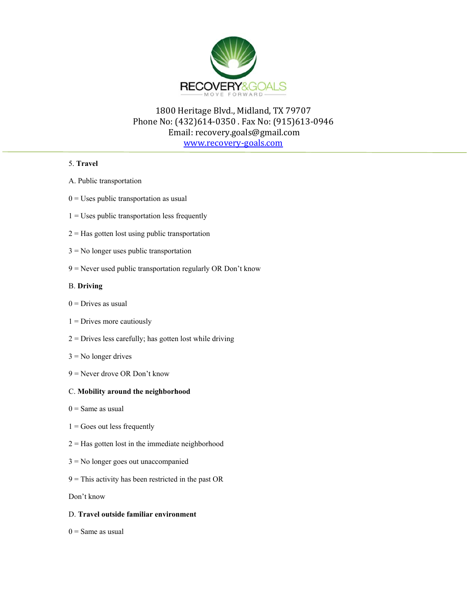

www.recovery‐goals.com

### 5. **Travel**

- A. Public transportation
- $0 =$  Uses public transportation as usual
- $1 =$  Uses public transportation less frequently
- $2 =$  Has gotten lost using public transportation
- 3 = No longer uses public transportation
- 9 = Never used public transportation regularly OR Don't know

### B. **Driving**

- $0 = Drives$  as usual
- $1 =$  Drives more cautiously
- $2$  = Drives less carefully; has gotten lost while driving
- $3 = No$  longer drives
- 9 = Never drove OR Don't know

### C. **Mobility around the neighborhood**

- $0 =$ Same as usual
- $1 =$  Goes out less frequently
- $2 =$  Has gotten lost in the immediate neighborhood
- 3 = No longer goes out unaccompanied
- $9$  = This activity has been restricted in the past OR

Don't know

### D. **Travel outside familiar environment**

 $0 =$ Same as usual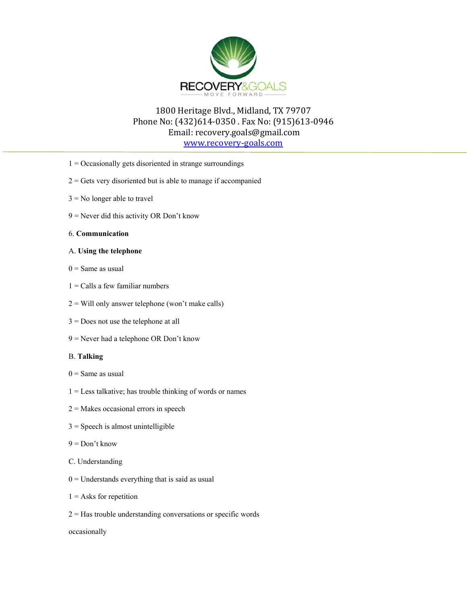

www.recovery‐goals.com

- 1 = Occasionally gets disoriented in strange surroundings
- $2 = \text{Gets}$  very disoriented but is able to manage if accompanied
- $3 =$  No longer able to travel
- 9 = Never did this activity OR Don't know
- 6. **Communication**
- A. **Using the telephone**
- $0 =$  Same as usual
- $1$  = Calls a few familiar numbers
- $2 =$  Will only answer telephone (won't make calls)
- 3 = Does not use the telephone at all
- 9 = Never had a telephone OR Don't know

### B. **Talking**

- $0 =$  Same as usual
- 1 = Less talkative; has trouble thinking of words or names
- $2 =$ Makes occasional errors in speech
- $3 =$ Speech is almost unintelligible
- $9 = Don't know$
- C. Understanding
- $0 =$  Understands everything that is said as usual
- $1 =$  Asks for repetition
- $2 =$  Has trouble understanding conversations or specific words

occasionally